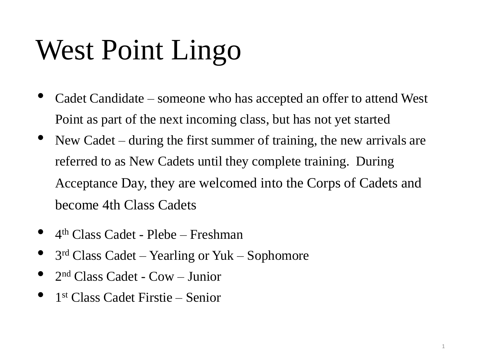# West Point Lingo

- Cadet Candidate someone who has accepted an offer to attend West Point as part of the next incoming class, but has not yet started
- New Cadet during the first summer of training, the new arrivals are referred to as New Cadets until they complete training. During Acceptance Day, they are welcomed into the Corps of Cadets and become 4th Class Cadets
- <sup>4</sup> th Class Cadet Plebe Freshman
- 3<sup>rd</sup> Class Cadet Yearling or Yuk Sophomore
- 2<sup>nd</sup> Class Cadet Cow Junior
- <sup>1</sup> st Class Cadet Firstie Senior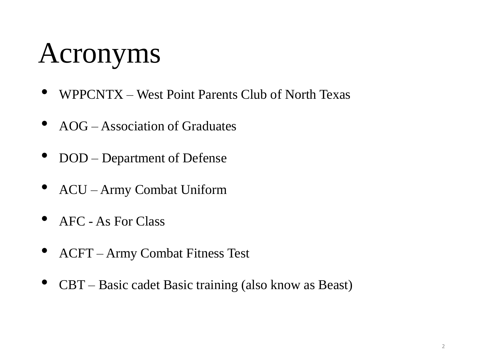### Acronyms

- WPPCNTX West Point Parents Club of North Texas
- AOG Association of Graduates
- DOD Department of Defense
- ACU Army Combat Uniform
- AFC As For Class
- ACFT Army Combat Fitness Test
- CBT Basic cadet Basic training (also know as Beast)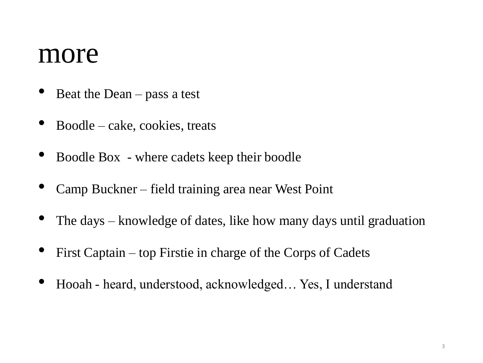#### more

- Beat the Dean  $-$  pass a test
- Boodle cake, cookies, treats
- Boodle Box where cadets keep their boodle
- Camp Buckner field training area near West Point
- The days knowledge of dates, like how many days until graduation
- First Captain top Firstie in charge of the Corps of Cadets
- Hooah heard, understood, acknowledged… Yes, I understand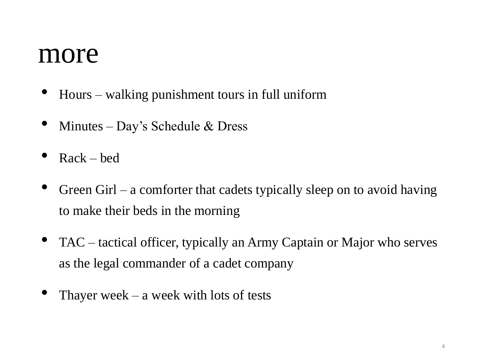#### more

- Hours walking punishment tours in full uniform
- Minutes Day's Schedule & Dress
- $Rack bed$
- Green Girl a comforter that cadets typically sleep on to avoid having to make their beds in the morning
- TAC tactical officer, typically an Army Captain or Major who serves as the legal commander of a cadet company
- Thayer week a week with lots of tests